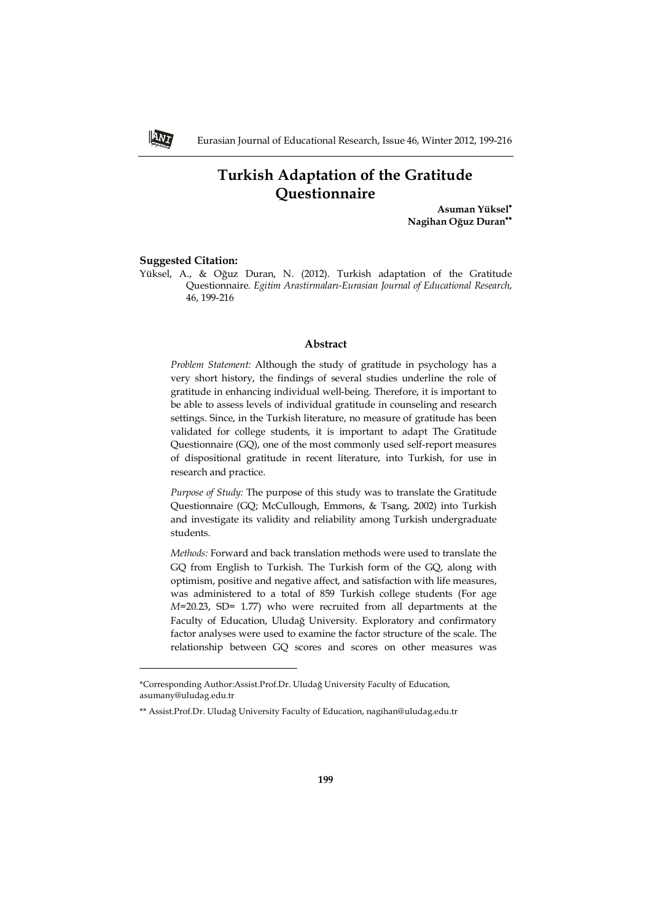# **Turkish Adaptation of the Gratitude Questionnaire**

**Asuman Yüksel Nagihan Oğuz Duran**

#### **Suggested Citation:**

ANI

j

Yüksel, A., & Oğuz Duran, N. (2012). Turkish adaptation of the Gratitude Questionnaire. *Egitim Arastirmaları-Eurasian Journal of Educational Research*, 46, 199-216

#### **Abstract**

*Problem Statement:* Although the study of gratitude in psychology has a very short history, the findings of several studies underline the role of gratitude in enhancing individual well-being. Therefore, it is important to be able to assess levels of individual gratitude in counseling and research settings. Since, in the Turkish literature, no measure of gratitude has been validated for college students, it is important to adapt The Gratitude Questionnaire (GQ), one of the most commonly used self-report measures of dispositional gratitude in recent literature, into Turkish, for use in research and practice.

*Purpose of Study:* The purpose of this study was to translate the Gratitude Questionnaire (GQ; McCullough, Emmons, & Tsang, 2002) into Turkish and investigate its validity and reliability among Turkish undergraduate students.

*Methods:* Forward and back translation methods were used to translate the GQ from English to Turkish. The Turkish form of the GQ, along with optimism, positive and negative affect, and satisfaction with life measures, was administered to a total of 859 Turkish college students (For age *M*=20.23, SD= 1.77) who were recruited from all departments at the Faculty of Education, Uludağ University. Exploratory and confirmatory factor analyses were used to examine the factor structure of the scale. The relationship between GQ scores and scores on other measures was

<sup>\*</sup>Corresponding Author:Assist.Prof.Dr. Uludağ University Faculty of Education, asumany@uludag.edu.tr

<sup>\*\*</sup> Assist.Prof.Dr. Uludağ University Faculty of Education, nagihan@uludag.edu.tr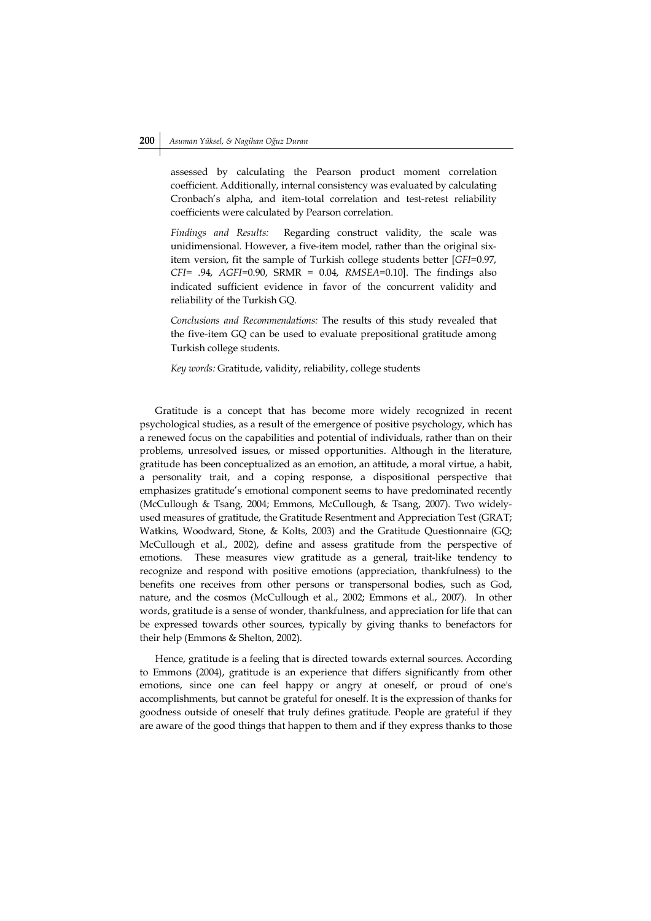assessed by calculating the Pearson product moment correlation coefficient. Additionally, internal consistency was evaluated by calculating Cronbach's alpha, and item-total correlation and test-retest reliability coefficients were calculated by Pearson correlation.

*Findings and Results:* Regarding construct validity, the scale was unidimensional. However, a five-item model, rather than the original sixitem version, fit the sample of Turkish college students better [*GFI*=0.97, *CFI*= .94, *AGFI*=0.90, SRMR = 0.04, *RMSEA*=0.10]. The findings also indicated sufficient evidence in favor of the concurrent validity and reliability of the Turkish GQ.

*Conclusions and Recommendations:* The results of this study revealed that the five-item GQ can be used to evaluate prepositional gratitude among Turkish college students.

*Key words:* Gratitude, validity, reliability, college students

Gratitude is a concept that has become more widely recognized in recent psychological studies, as a result of the emergence of positive psychology, which has a renewed focus on the capabilities and potential of individuals, rather than on their problems, unresolved issues, or missed opportunities. Although in the literature, gratitude has been conceptualized as an emotion, an attitude, a moral virtue, a habit, a personality trait, and a coping response, a dispositional perspective that emphasizes gratitude's emotional component seems to have predominated recently (McCullough & Tsang, 2004; Emmons, McCullough, & Tsang, 2007). Two widelyused measures of gratitude, the Gratitude Resentment and Appreciation Test (GRAT; Watkins, Woodward, Stone, & Kolts, 2003) and the Gratitude Questionnaire (GQ; McCullough et al., 2002), define and assess gratitude from the perspective of emotions. These measures view gratitude as a general, trait-like tendency to recognize and respond with positive emotions (appreciation, thankfulness) to the benefits one receives from other persons or transpersonal bodies, such as God, nature, and the cosmos (McCullough et al., 2002; Emmons et al., 2007). In other words, gratitude is a sense of wonder, thankfulness, and appreciation for life that can be expressed towards other sources, typically by giving thanks to benefactors for their help (Emmons & Shelton, 2002).

Hence, gratitude is a feeling that is directed towards external sources. According to Emmons (2004), gratitude is an experience that differs significantly from other emotions, since one can feel happy or angry at oneself, or proud of one's accomplishments, but cannot be grateful for oneself. It is the expression of thanks for goodness outside of oneself that truly defines gratitude. People are grateful if they are aware of the good things that happen to them and if they express thanks to those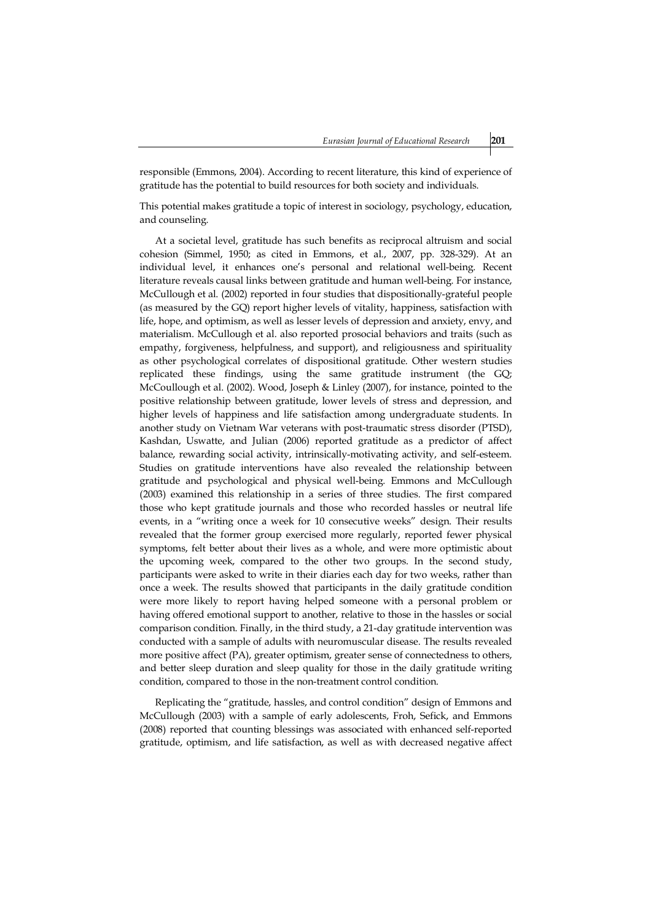responsible (Emmons, 2004). According to recent literature, this kind of experience of gratitude has the potential to build resources for both society and individuals.

This potential makes gratitude a topic of interest in sociology, psychology, education, and counseling.

At a societal level, gratitude has such benefits as reciprocal altruism and social cohesion (Simmel, 1950; as cited in Emmons, et al., 2007, pp. 328-329). At an individual level, it enhances one's personal and relational well-being. Recent literature reveals causal links between gratitude and human well-being. For instance, McCullough et al. (2002) reported in four studies that dispositionally-grateful people (as measured by the GQ) report higher levels of vitality, happiness, satisfaction with life, hope, and optimism, as well as lesser levels of depression and anxiety, envy, and materialism. McCullough et al. also reported prosocial behaviors and traits (such as empathy, forgiveness, helpfulness, and support), and religiousness and spirituality as other psychological correlates of dispositional gratitude. Other western studies replicated these findings, using the same gratitude instrument (the GQ; McCoullough et al. (2002). Wood, Joseph & Linley (2007), for instance, pointed to the positive relationship between gratitude, lower levels of stress and depression, and higher levels of happiness and life satisfaction among undergraduate students. In another study on Vietnam War veterans with post-traumatic stress disorder (PTSD), Kashdan, Uswatte, and Julian (2006) reported gratitude as a predictor of affect balance, rewarding social activity, intrinsically-motivating activity, and self-esteem. Studies on gratitude interventions have also revealed the relationship between gratitude and psychological and physical well-being. Emmons and McCullough (2003) examined this relationship in a series of three studies. The first compared those who kept gratitude journals and those who recorded hassles or neutral life events, in a "writing once a week for 10 consecutive weeks" design. Their results revealed that the former group exercised more regularly, reported fewer physical symptoms, felt better about their lives as a whole, and were more optimistic about the upcoming week, compared to the other two groups. In the second study, participants were asked to write in their diaries each day for two weeks, rather than once a week. The results showed that participants in the daily gratitude condition were more likely to report having helped someone with a personal problem or having offered emotional support to another, relative to those in the hassles or social comparison condition. Finally, in the third study, a 21-day gratitude intervention was conducted with a sample of adults with neuromuscular disease. The results revealed more positive affect (PA), greater optimism, greater sense of connectedness to others, and better sleep duration and sleep quality for those in the daily gratitude writing condition, compared to those in the non-treatment control condition.

Replicating the "gratitude, hassles, and control condition" design of Emmons and McCullough (2003) with a sample of early adolescents, Froh, Sefick, and Emmons (2008) reported that counting blessings was associated with enhanced self-reported gratitude, optimism, and life satisfaction, as well as with decreased negative affect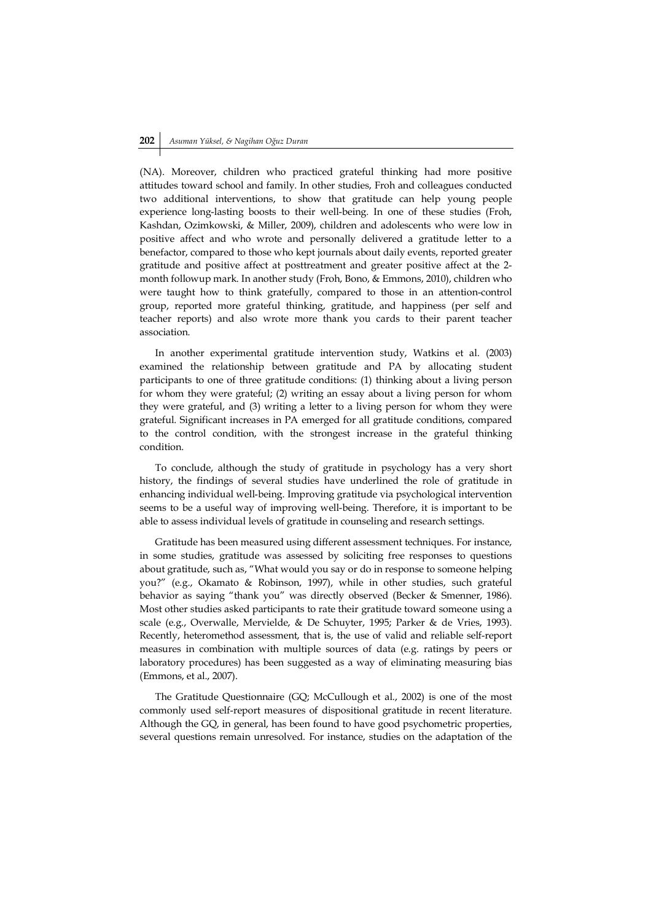(NA). Moreover, children who practiced grateful thinking had more positive attitudes toward school and family. In other studies, Froh and colleagues conducted two additional interventions, to show that gratitude can help young people experience long-lasting boosts to their well-being. In one of these studies (Froh, Kashdan, Ozimkowski, & Miller, 2009), children and adolescents who were low in positive affect and who wrote and personally delivered a gratitude letter to a benefactor, compared to those who kept journals about daily events, reported greater gratitude and positive affect at posttreatment and greater positive affect at the 2 month followup mark. In another study (Froh, Bono, & Emmons, 2010), children who were taught how to think gratefully, compared to those in an attention-control group, reported more grateful thinking, gratitude, and happiness (per self and teacher reports) and also wrote more thank you cards to their parent teacher association.

In another experimental gratitude intervention study, Watkins et al. (2003) examined the relationship between gratitude and PA by allocating student participants to one of three gratitude conditions: (1) thinking about a living person for whom they were grateful; (2) writing an essay about a living person for whom they were grateful, and (3) writing a letter to a living person for whom they were grateful. Significant increases in PA emerged for all gratitude conditions, compared to the control condition, with the strongest increase in the grateful thinking condition.

To conclude, although the study of gratitude in psychology has a very short history, the findings of several studies have underlined the role of gratitude in enhancing individual well-being. Improving gratitude via psychological intervention seems to be a useful way of improving well-being. Therefore, it is important to be able to assess individual levels of gratitude in counseling and research settings.

Gratitude has been measured using different assessment techniques. For instance, in some studies, gratitude was assessed by soliciting free responses to questions about gratitude, such as, "What would you say or do in response to someone helping you?" (e.g., Okamato & Robinson, 1997), while in other studies, such grateful behavior as saying "thank you" was directly observed (Becker & Smenner, 1986). Most other studies asked participants to rate their gratitude toward someone using a scale (e.g., Overwalle, Mervielde, & De Schuyter, 1995; Parker & de Vries, 1993). Recently, heteromethod assessment, that is, the use of valid and reliable self-report measures in combination with multiple sources of data (e.g. ratings by peers or laboratory procedures) has been suggested as a way of eliminating measuring bias (Emmons, et al., 2007).

The Gratitude Questionnaire (GQ; McCullough et al., 2002) is one of the most commonly used self-report measures of dispositional gratitude in recent literature. Although the GQ, in general, has been found to have good psychometric properties, several questions remain unresolved. For instance, studies on the adaptation of the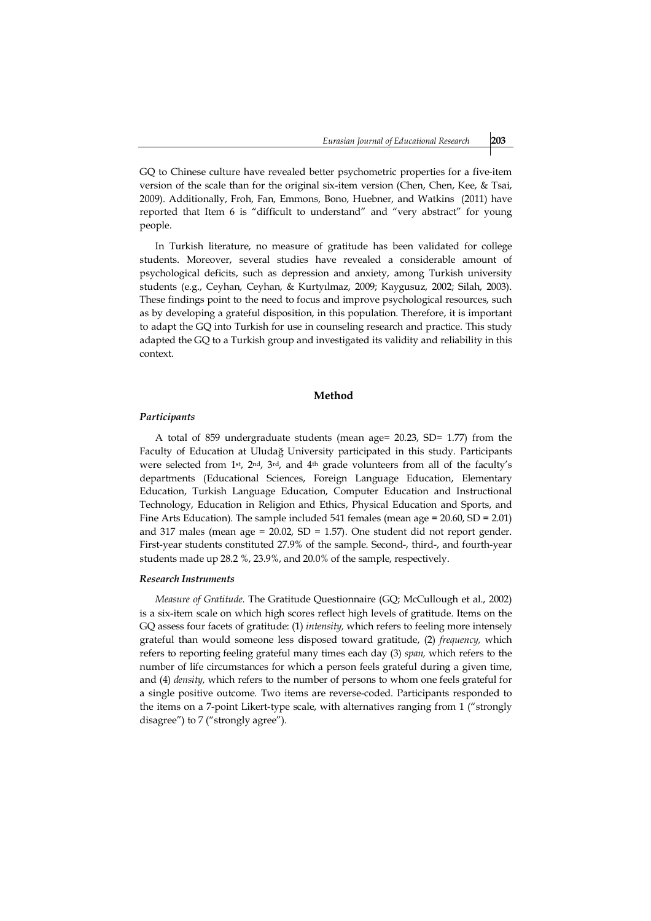GQ to Chinese culture have revealed better psychometric properties for a five-item version of the scale than for the original six-item version (Chen, Chen, Kee, & Tsai, 2009). Additionally, Froh, Fan, Emmons, Bono, Huebner, and Watkins (2011) have reported that Item 6 is "difficult to understand" and "very abstract" for young people.

In Turkish literature, no measure of gratitude has been validated for college students. Moreover, several studies have revealed a considerable amount of psychological deficits, such as depression and anxiety, among Turkish university students (e.g., Ceyhan, Ceyhan, & Kurtyılmaz, 2009; Kaygusuz, 2002; Silah, 2003). These findings point to the need to focus and improve psychological resources, such as by developing a grateful disposition, in this population. Therefore, it is important to adapt the GQ into Turkish for use in counseling research and practice. This study adapted the GQ to a Turkish group and investigated its validity and reliability in this context.

#### **Method**

#### *Participants*

A total of 859 undergraduate students (mean age= 20.23, SD= 1.77) from the Faculty of Education at Uludağ University participated in this study. Participants were selected from 1st, 2nd, 3rd, and 4th grade volunteers from all of the faculty's departments (Educational Sciences, Foreign Language Education, Elementary Education, Turkish Language Education, Computer Education and Instructional Technology, Education in Religion and Ethics, Physical Education and Sports, and Fine Arts Education). The sample included 541 females (mean age = 20.60, SD = 2.01) and 317 males (mean age =  $20.02$ , SD = 1.57). One student did not report gender. First-year students constituted 27.9% of the sample. Second-, third-, and fourth-year students made up 28.2 %, 23.9%, and 20.0% of the sample, respectively.

#### *Research Instruments*

*Measure of Gratitude*. The Gratitude Questionnaire (GQ; McCullough et al., 2002) is a six-item scale on which high scores reflect high levels of gratitude. Items on the GQ assess four facets of gratitude: (1) *intensity,* which refers to feeling more intensely grateful than would someone less disposed toward gratitude, (2) *frequency,* which refers to reporting feeling grateful many times each day (3) *span,* which refers to the number of life circumstances for which a person feels grateful during a given time, and (4) *density,* which refers to the number of persons to whom one feels grateful for a single positive outcome. Two items are reverse-coded. Participants responded to the items on a 7-point Likert-type scale, with alternatives ranging from 1 ("strongly disagree") to 7 ("strongly agree").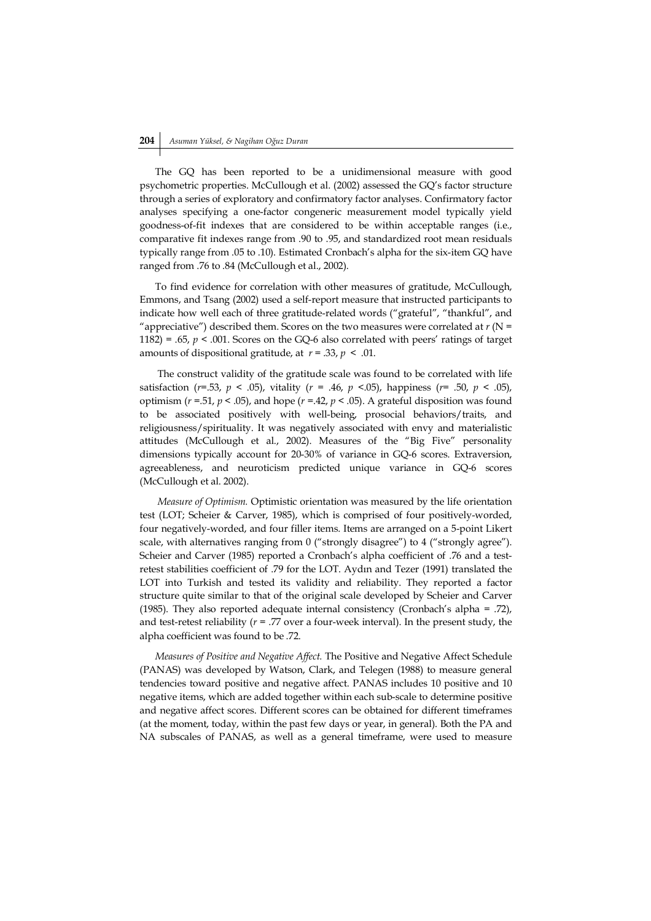# **204** *Asuman Yüksel, & Nagihan Oğuz Duran*

The GQ has been reported to be a unidimensional measure with good psychometric properties. McCullough et al. (2002) assessed the GQ's factor structure through a series of exploratory and confirmatory factor analyses. Confirmatory factor analyses specifying a one-factor congeneric measurement model typically yield goodness-of-fit indexes that are considered to be within acceptable ranges (i.e., comparative fit indexes range from .90 to .95, and standardized root mean residuals typically range from .05 to .10). Estimated Cronbach's alpha for the six-item GQ have ranged from .76 to .84 (McCullough et al., 2002).

To find evidence for correlation with other measures of gratitude, McCullough, Emmons, and Tsang (2002) used a self-report measure that instructed participants to indicate how well each of three gratitude-related words ("grateful", "thankful", and "appreciative") described them. Scores on the two measures were correlated at  $r$  (N = 1182) = .65,  $p < .001$ . Scores on the GQ-6 also correlated with peers' ratings of target amounts of dispositional gratitude, at *r* = .33, *p* < .01.

The construct validity of the gratitude scale was found to be correlated with life satisfaction (*r=*.53, *p* < .05), vitality (*r* = .46, *p* <.05), happiness (*r=* .50, *p* < .05), optimism (*r* =.51, *p* < .05), and hope (*r =*.42, *p <* .05). A grateful disposition was found to be associated positively with well-being, prosocial behaviors/traits, and religiousness/spirituality. It was negatively associated with envy and materialistic attitudes (McCullough et al., 2002). Measures of the "Big Five" personality dimensions typically account for 20-30% of variance in GQ-6 scores. Extraversion, agreeableness, and neuroticism predicted unique variance in GQ-6 scores (McCullough et al. 2002).

*Measure of Optimism.* Optimistic orientation was measured by the life orientation test (LOT; Scheier & Carver, 1985), which is comprised of four positively-worded, four negatively-worded, and four filler items. Items are arranged on a 5-point Likert scale, with alternatives ranging from 0 ("strongly disagree") to 4 ("strongly agree"). Scheier and Carver (1985) reported a Cronbach's alpha coefficient of .76 and a testretest stabilities coefficient of .79 for the LOT. Aydın and Tezer (1991) translated the LOT into Turkish and tested its validity and reliability. They reported a factor structure quite similar to that of the original scale developed by Scheier and Carver (1985). They also reported adequate internal consistency (Cronbach's alpha = .72), and test-retest reliability  $(r = .77)$  over a four-week interval). In the present study, the alpha coefficient was found to be .72.

*Measures of Positive and Negative Affect.* The Positive and Negative Affect Schedule (PANAS) was developed by Watson, Clark, and Telegen (1988) to measure general tendencies toward positive and negative affect. PANAS includes 10 positive and 10 negative items, which are added together within each sub-scale to determine positive and negative affect scores. Different scores can be obtained for different timeframes (at the moment, today, within the past few days or year, in general). Both the PA and NA subscales of PANAS, as well as a general timeframe, were used to measure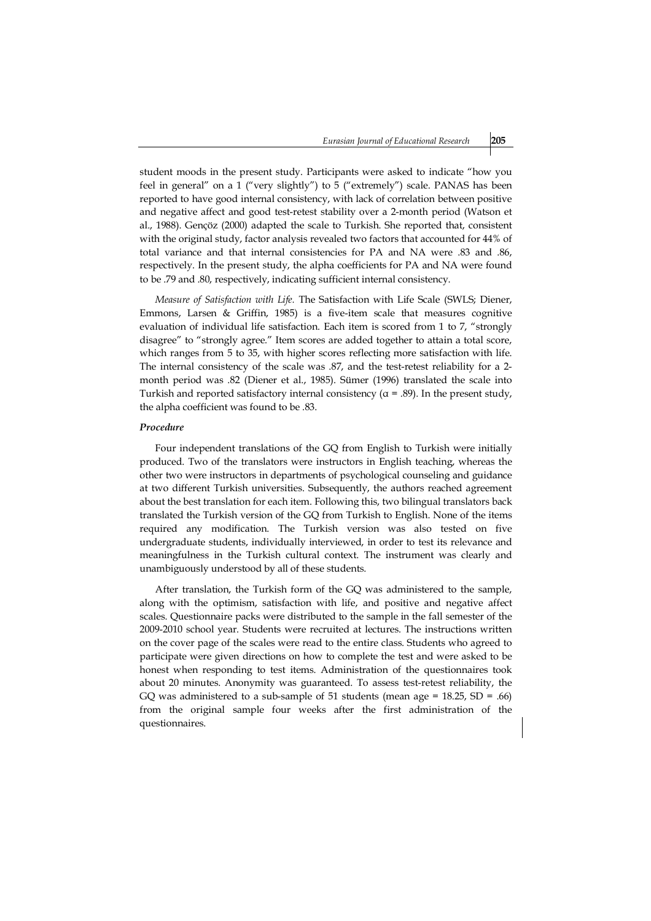student moods in the present study. Participants were asked to indicate "how you feel in general" on a 1 ("very slightly") to 5 ("extremely") scale. PANAS has been reported to have good internal consistency, with lack of correlation between positive and negative affect and good test-retest stability over a 2-month period (Watson et al., 1988). Gençöz (2000) adapted the scale to Turkish. She reported that, consistent with the original study, factor analysis revealed two factors that accounted for 44% of total variance and that internal consistencies for PA and NA were .83 and .86, respectively. In the present study, the alpha coefficients for PA and NA were found to be .79 and .80, respectively, indicating sufficient internal consistency.

*Measure of Satisfaction with Life.* The Satisfaction with Life Scale (SWLS; Diener, Emmons, Larsen & Griffin, 1985) is a five-item scale that measures cognitive evaluation of individual life satisfaction. Each item is scored from 1 to 7, "strongly disagree" to "strongly agree." Item scores are added together to attain a total score, which ranges from 5 to 35, with higher scores reflecting more satisfaction with life. The internal consistency of the scale was .87, and the test-retest reliability for a 2 month period was .82 (Diener et al., 1985). Sümer (1996) translated the scale into Turkish and reported satisfactory internal consistency ( $\alpha$  = .89). In the present study, the alpha coefficient was found to be .83.

## *Procedure*

Four independent translations of the GQ from English to Turkish were initially produced. Two of the translators were instructors in English teaching, whereas the other two were instructors in departments of psychological counseling and guidance at two different Turkish universities. Subsequently, the authors reached agreement about the best translation for each item. Following this, two bilingual translators back translated the Turkish version of the GQ from Turkish to English. None of the items required any modification. The Turkish version was also tested on five undergraduate students, individually interviewed, in order to test its relevance and meaningfulness in the Turkish cultural context. The instrument was clearly and unambiguously understood by all of these students.

After translation, the Turkish form of the GQ was administered to the sample, along with the optimism, satisfaction with life, and positive and negative affect scales. Questionnaire packs were distributed to the sample in the fall semester of the 2009-2010 school year. Students were recruited at lectures. The instructions written on the cover page of the scales were read to the entire class. Students who agreed to participate were given directions on how to complete the test and were asked to be honest when responding to test items. Administration of the questionnaires took about 20 minutes. Anonymity was guaranteed. To assess test-retest reliability, the GQ was administered to a sub-sample of 51 students (mean age =  $18.25$ , SD = .66) from the original sample four weeks after the first administration of the questionnaires.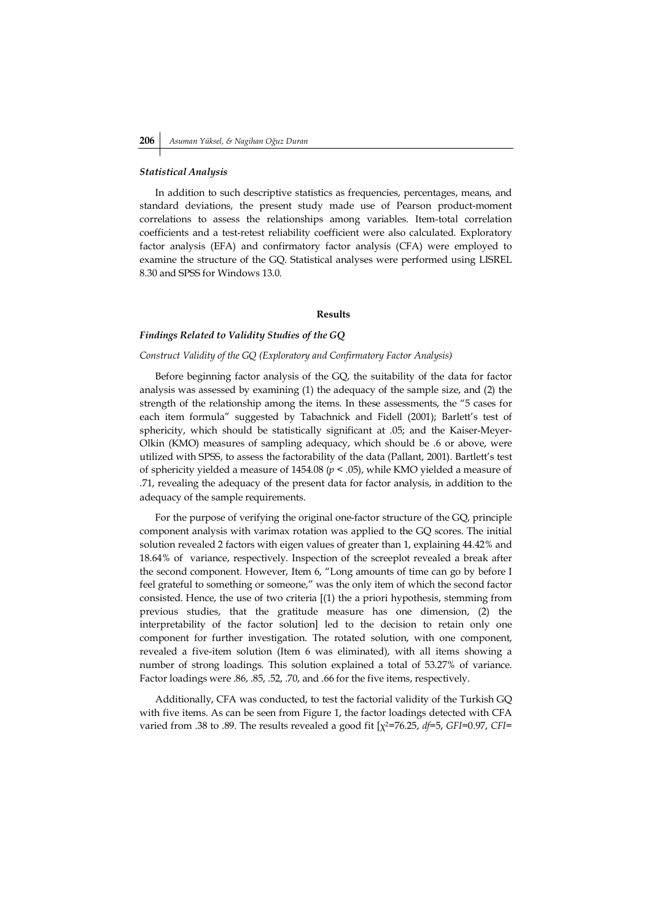#### *Statistical Analysis*

In addition to such descriptive statistics as frequencies, percentages, means, and standard deviations, the present study made use of Pearson product-moment correlations to assess the relationships among variables. Item-total correlation coefficients and a test-retest reliability coefficient were also calculated. Exploratory factor analysis (EFA) and confirmatory factor analysis (CFA) were employed to examine the structure of the GQ. Statistical analyses were performed using LISREL 8.30 and SPSS for Windows 13.0.

#### **Results**

## *Findings Related to Validity Studies of the GQ*

#### *Construct Validity of the GQ (Exploratory and Confirmatory Factor Analysis)*

Before beginning factor analysis of the GQ, the suitability of the data for factor analysis was assessed by examining (1) the adequacy of the sample size, and (2) the strength of the relationship among the items. In these assessments, the "5 cases for each item formula" suggested by Tabachnick and Fidell (2001); Barlett's test of sphericity, which should be statistically significant at .05; and the Kaiser-Meyer-Olkin (KMO) measures of sampling adequacy, which should be .6 or above, were utilized with SPSS, to assess the factorability of the data (Pallant, 2001). Bartlett's test of sphericity yielded a measure of 1454.08 (*p* < .05), while KMO yielded a measure of .71, revealing the adequacy of the present data for factor analysis, in addition to the adequacy of the sample requirements.

For the purpose of verifying the original one-factor structure of the GQ, principle component analysis with varimax rotation was applied to the GQ scores. The initial solution revealed 2 factors with eigen values of greater than 1, explaining 44.42% and 18.64% of variance, respectively. Inspection of the screeplot revealed a break after the second component. However, Item 6, "Long amounts of time can go by before I feel grateful to something or someone," was the only item of which the second factor consisted. Hence, the use of two criteria [(1) the a priori hypothesis, stemming from previous studies, that the gratitude measure has one dimension, (2) the interpretability of the factor solution] led to the decision to retain only one component for further investigation. The rotated solution, with one component, revealed a five-item solution (Item 6 was eliminated), with all items showing a number of strong loadings. This solution explained a total of 53.27% of variance. Factor loadings were .86, .85, .52, .70, and .66 for the five items, respectively.

Additionally, CFA was conducted, to test the factorial validity of the Turkish GQ with five items. As can be seen from Figure 1, the factor loadings detected with CFA varied from .38 to .89. The results revealed a good fit [χ2=76.25, *df*=5, *GFI*=0.97, *CFI*=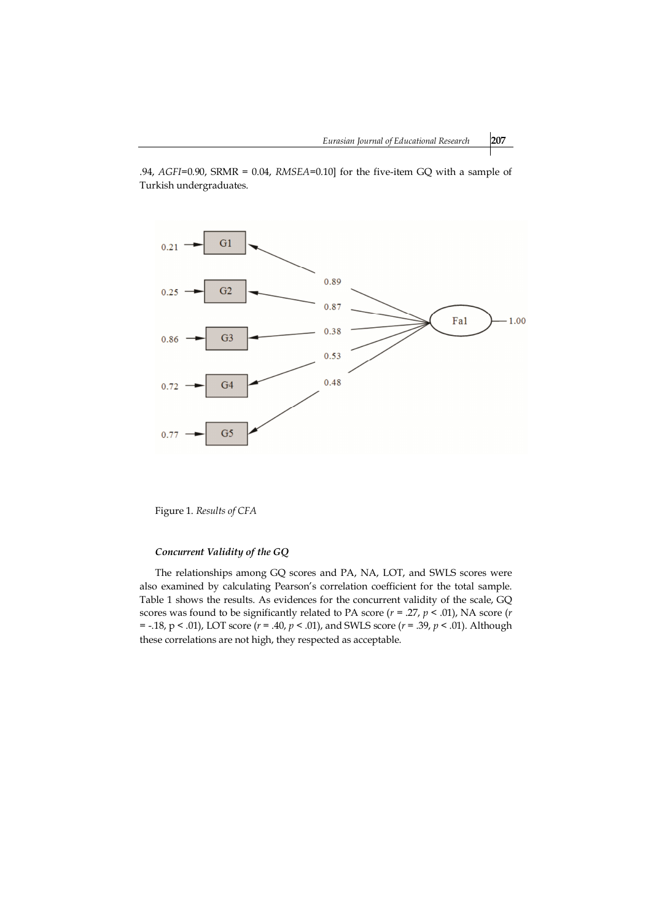.94, *AGFI*=0.90, SRMR = 0.04, *RMSEA*=0.10] for the five-item GQ with a sample of Turkish undergraduates.



Figure 1. *Results of CFA*

## *Concurrent Validity of the GQ*

The relationships among GQ scores and PA, NA, LOT, and SWLS scores were also examined by calculating Pearson's correlation coefficient for the total sample. Table 1 shows the results. As evidences for the concurrent validity of the scale, GQ scores was found to be significantly related to PA score (*r* = .27, *p* < .01), NA score (*r*  = -.18, p < .01), LOT score (*r* = .40, *p* < .01), and SWLS score (*r* = .39, *p* < .01). Although these correlations are not high, they respected as acceptable.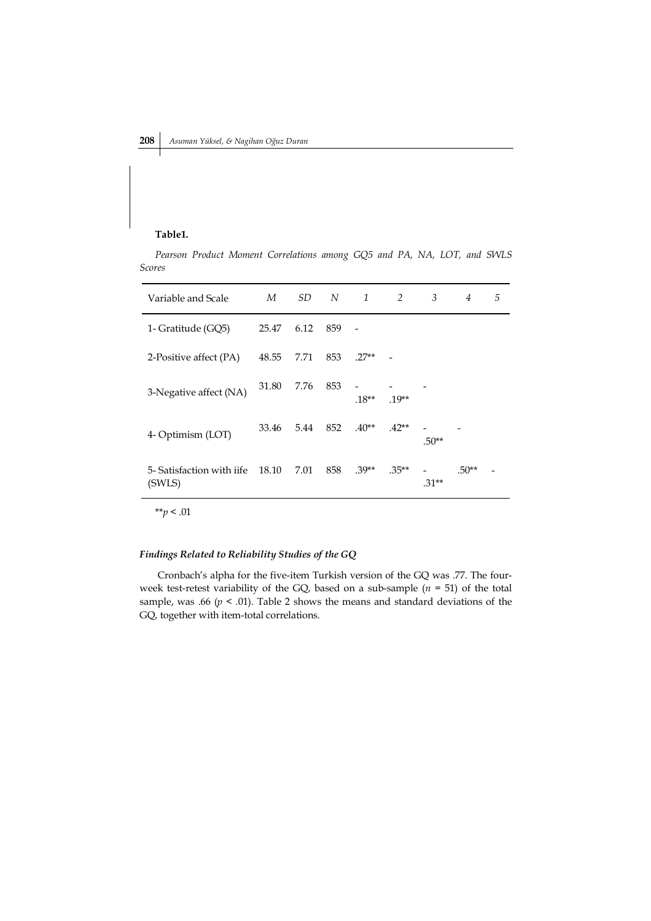## **Table1.**

*Pearson Product Moment Correlations among GQ5 and PA, NA, LOT, and SWLS Scores*

| Variable and Scale                  | M     | SD.  | N   | 1       | 2        | 3       | $\overline{4}$ | 5 |
|-------------------------------------|-------|------|-----|---------|----------|---------|----------------|---|
| 1- Gratitude (GQ5)                  | 25.47 | 6.12 | 859 |         |          |         |                |   |
| 2-Positive affect (PA)              | 48.55 | 7.71 | 853 | $.27**$ |          |         |                |   |
| 3-Negative affect (NA)              | 31.80 | 7.76 | 853 | $.18**$ | $.19**$  |         |                |   |
| 4- Optimism (LOT)                   | 33.46 | 5.44 | 852 | $.40**$ | $.42**$  | $.50**$ |                |   |
| 5- Satisfaction with jife<br>(SWLS) | 18.10 | 7.01 | 858 | $.39**$ | $.35***$ | $.31**$ | $.50**$        |   |

\*\**p* < .01

## *Findings Related to Reliability Studies of the GQ*

Cronbach's alpha for the five-item Turkish version of the GQ was .77. The fourweek test-retest variability of the GQ, based on a sub-sample  $(n = 51)$  of the total sample, was .66  $(p < .01)$ . Table 2 shows the means and standard deviations of the GQ, together with item-total correlations.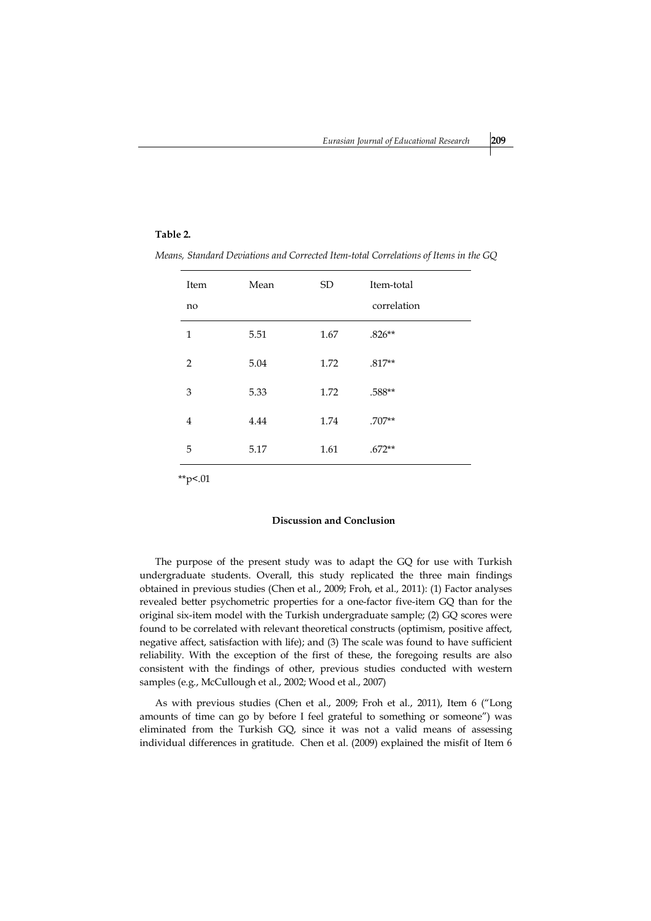## **Table 2.**

| Item<br>no     | Mean | SD.  | Item-total<br>correlation |
|----------------|------|------|---------------------------|
| 1              | 5.51 | 1.67 | $.826**$                  |
| $\overline{2}$ | 5.04 | 1.72 | $.817**$                  |
| 3              | 5.33 | 1.72 | $.588**$                  |
| $\overline{4}$ | 4.44 | 1.74 | $.707**$                  |
| 5              | 5.17 | 1.61 | $.672**$                  |
|                |      |      |                           |

*Means, Standard Deviations and Corrected Item-total Correlations of Items in the GQ*

\*\*p<.01

## **Discussion and Conclusion**

The purpose of the present study was to adapt the GQ for use with Turkish undergraduate students. Overall, this study replicated the three main findings obtained in previous studies (Chen et al., 2009; Froh, et al., 2011): (1) Factor analyses revealed better psychometric properties for a one-factor five-item GQ than for the original six-item model with the Turkish undergraduate sample; (2) GQ scores were found to be correlated with relevant theoretical constructs (optimism, positive affect, negative affect, satisfaction with life); and (3) The scale was found to have sufficient reliability. With the exception of the first of these, the foregoing results are also consistent with the findings of other, previous studies conducted with western samples (e.g., McCullough et al., 2002; Wood et al., 2007)

As with previous studies (Chen et al., 2009; Froh et al., 2011), Item 6 ("Long amounts of time can go by before I feel grateful to something or someone") was eliminated from the Turkish GQ, since it was not a valid means of assessing individual differences in gratitude. Chen et al. (2009) explained the misfit of Item 6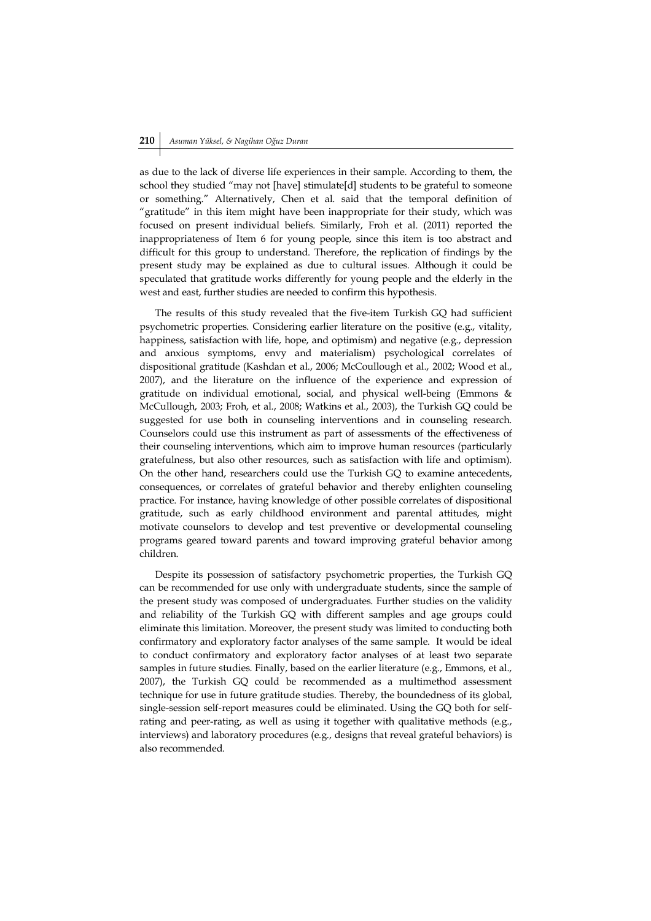# **210** *Asuman Yüksel, & Nagihan Oğuz Duran*

as due to the lack of diverse life experiences in their sample. According to them, the school they studied "may not [have] stimulate[d] students to be grateful to someone or something." Alternatively, Chen et al. said that the temporal definition of "gratitude" in this item might have been inappropriate for their study, which was focused on present individual beliefs. Similarly, Froh et al. (2011) reported the inappropriateness of Item 6 for young people, since this item is too abstract and difficult for this group to understand. Therefore, the replication of findings by the present study may be explained as due to cultural issues. Although it could be speculated that gratitude works differently for young people and the elderly in the west and east, further studies are needed to confirm this hypothesis.

The results of this study revealed that the five-item Turkish GQ had sufficient psychometric properties. Considering earlier literature on the positive (e.g., vitality, happiness, satisfaction with life, hope, and optimism) and negative (e.g., depression and anxious symptoms, envy and materialism) psychological correlates of dispositional gratitude (Kashdan et al., 2006; McCoullough et al., 2002; Wood et al., 2007), and the literature on the influence of the experience and expression of gratitude on individual emotional, social, and physical well-being (Emmons & McCullough, 2003; Froh, et al., 2008; Watkins et al., 2003), the Turkish GQ could be suggested for use both in counseling interventions and in counseling research. Counselors could use this instrument as part of assessments of the effectiveness of their counseling interventions, which aim to improve human resources (particularly gratefulness, but also other resources, such as satisfaction with life and optimism). On the other hand, researchers could use the Turkish GQ to examine antecedents, consequences, or correlates of grateful behavior and thereby enlighten counseling practice. For instance, having knowledge of other possible correlates of dispositional gratitude, such as early childhood environment and parental attitudes, might motivate counselors to develop and test preventive or developmental counseling programs geared toward parents and toward improving grateful behavior among children.

Despite its possession of satisfactory psychometric properties, the Turkish GQ can be recommended for use only with undergraduate students, since the sample of the present study was composed of undergraduates. Further studies on the validity and reliability of the Turkish GQ with different samples and age groups could eliminate this limitation. Moreover, the present study was limited to conducting both confirmatory and exploratory factor analyses of the same sample. It would be ideal to conduct confirmatory and exploratory factor analyses of at least two separate samples in future studies. Finally, based on the earlier literature (e.g., Emmons, et al., 2007), the Turkish GQ could be recommended as a multimethod assessment technique for use in future gratitude studies. Thereby, the boundedness of its global, single-session self-report measures could be eliminated. Using the GQ both for selfrating and peer-rating, as well as using it together with qualitative methods (e.g., interviews) and laboratory procedures (e.g., designs that reveal grateful behaviors) is also recommended.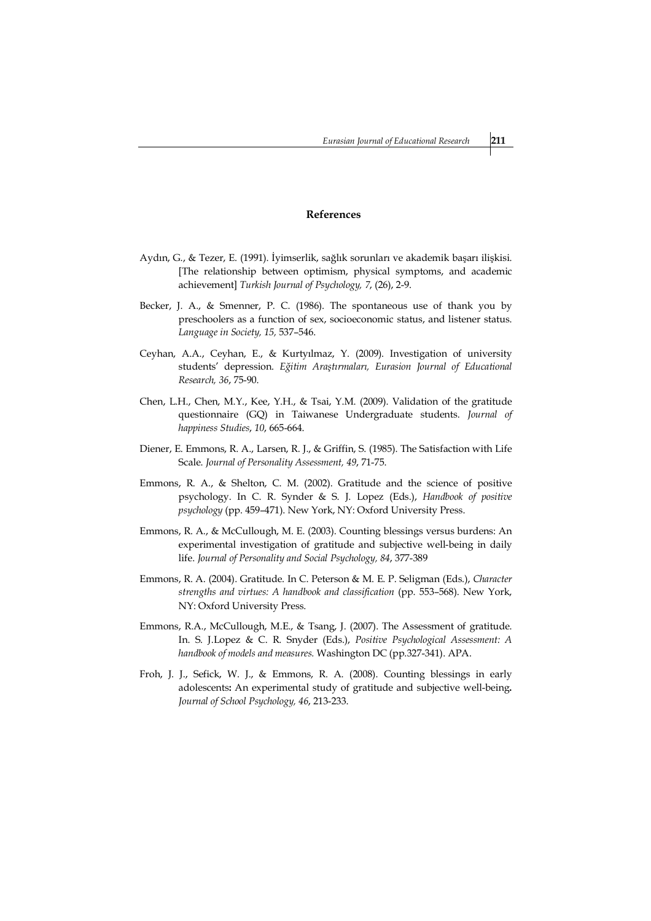### **References**

- Aydın, G., & Tezer, E. (1991). İyimserlik, sağlık sorunları ve akademik başarı ilişkisi. [The relationship between optimism, physical symptoms, and academic achievement] *Turkish Journal of Psychology, 7*, (26), 2-9.
- Becker, J. A., & Smenner, P. C. (1986). The spontaneous use of thank you by preschoolers as a function of sex, socioeconomic status, and listener status. *Language in Society, 15,* 537–546.
- Ceyhan, A.A., Ceyhan, E., & Kurtyılmaz, Y. (2009). Investigation of university students' depression. *Eğitim Araştırmaları, Eurasion Journal of Educational Research, 36*, 75-90.
- Chen, L.H., Chen, M.Y., Kee, Y.H., & Tsai, Y.M. (2009). Validation of the gratitude questionnaire (GQ) in Taiwanese Undergraduate students. *Journal of happiness Studies*, *10*, 665-664.
- Diener, E. Emmons, R. A., Larsen, R. J., & Griffin, S. (1985). The Satisfaction with Life Scale. *Journal of Personality Assessment, 49*, 71-75.
- Emmons, R. A., & Shelton, C. M. (2002). Gratitude and the science of positive psychology. In C. R. Synder & S. J. Lopez (Eds.), *Handbook of positive psychology* (pp. 459–471). New York, NY: Oxford University Press.
- Emmons, R. A., & McCullough, M. E. (2003). Counting blessings versus burdens: An experimental investigation of gratitude and subjective well-being in daily life. *Journal of Personality and Social Psychology, 84*, 377-389
- Emmons, R. A. (2004). Gratitude. In C. Peterson & M. E. P. Seligman (Eds.), *Character strengths and virtues: A handbook and classification* (pp. 553–568). New York, NY: Oxford University Press.
- Emmons, R.A., McCullough, M.E., & Tsang, J. (2007). The Assessment of gratitude. In. S. J.Lopez & C. R. Snyder (Eds.), *Positive Psychological Assessment: A handbook of models and measures.* Washington DC (pp.327-341). APA.
- Froh, J. J., Sefick, W. J., & Emmons, R. A. (2008). Counting blessings in early adolescents**:** An experimental study of gratitude and subjective well-being**.** *Journal of School Psychology, 46*, 213-233.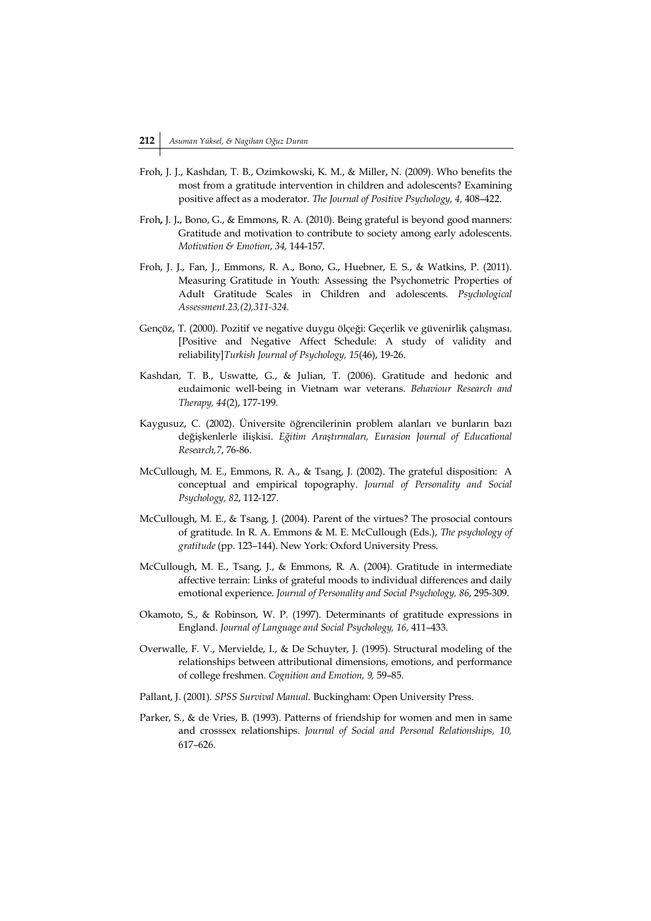- Froh, J. J., Kashdan, T. B., Ozimkowski, K. M., & Miller, N. (2009). Who benefits the most from a gratitude intervention in children and adolescents? Examining positive affect as a moderator. *The Journal of Positive Psychology, 4,* 408–422.
- Froh**,** J. J**.**, Bono, G., & Emmons, R. A. (2010). Being grateful is beyond good manners: Gratitude and motivation to contribute to society among early adolescents. *Motivation & Emotion*, *34,* 144-157.
- Froh, J. J., Fan, J., Emmons, R. A., Bono, G., Huebner, E. S., & Watkins, P. (2011). Measuring Gratitude in Youth: Assessing the Psychometric Properties of Adult Gratitude Scales in Children and adolescents. *Psychological Assessment.23,(2),311-324.*
- Gençöz, T. (2000). Pozitif ve negative duygu ölçeği: Geçerlik ve güvenirlik çalışması. [Positive and Negative Affect Schedule: A study of validity and reliability]*Turkish Journal of Psychology, 15*(46), 19-26.
- Kashdan, T. B., Uswatte, G., & Julian, T. (2006). Gratitude and hedonic and eudaimonic well-being in Vietnam war veterans. *Behaviour Research and Therapy, 44*(2), 177-199.
- Kaygusuz, C. (2002). Üniversite öğrencilerinin problem alanları ve bunların bazı değişkenlerle ilişkisi. *Eğitim Araştırmaları, Eurasion Journal of Educational Research,7*, 76-86.
- McCullough, M. E., Emmons, R. A., & Tsang, J. (2002). The grateful disposition: A conceptual and empirical topography. *Journal of Personality and Social Psychology, 82*, 112-127.
- McCullough, M. E., & Tsang, J. (2004). Parent of the virtues? The prosocial contours of gratitude. In R. A. Emmons & M. E. McCullough (Eds.), *The psychology of gratitude* (pp. 123–144). New York: Oxford University Press.
- McCullough, M. E., Tsang, J., & Emmons, R. A. (2004). Gratitude in intermediate affective terrain: Links of grateful moods to individual differences and daily emotional experience. *Journal of Personality and Social Psychology, 86*, 295-309.
- Okamoto, S., & Robinson, W. P. (1997). Determinants of gratitude expressions in England. *Journal of Language and Social Psychology, 16,* 411–433.
- Overwalle, F. V., Mervielde, I., & De Schuyter, J. (1995). Structural modeling of the relationships between attributional dimensions, emotions, and performance of college freshmen. *Cognition and Emotion, 9,* 59–85.
- Pallant, J. (2001). *SPSS Survival Manual.* Buckingham: Open University Press.
- Parker, S., & de Vries, B. (1993). Patterns of friendship for women and men in same and crosssex relationships. *Journal of Social and Personal Relationships, 10,*  617–626.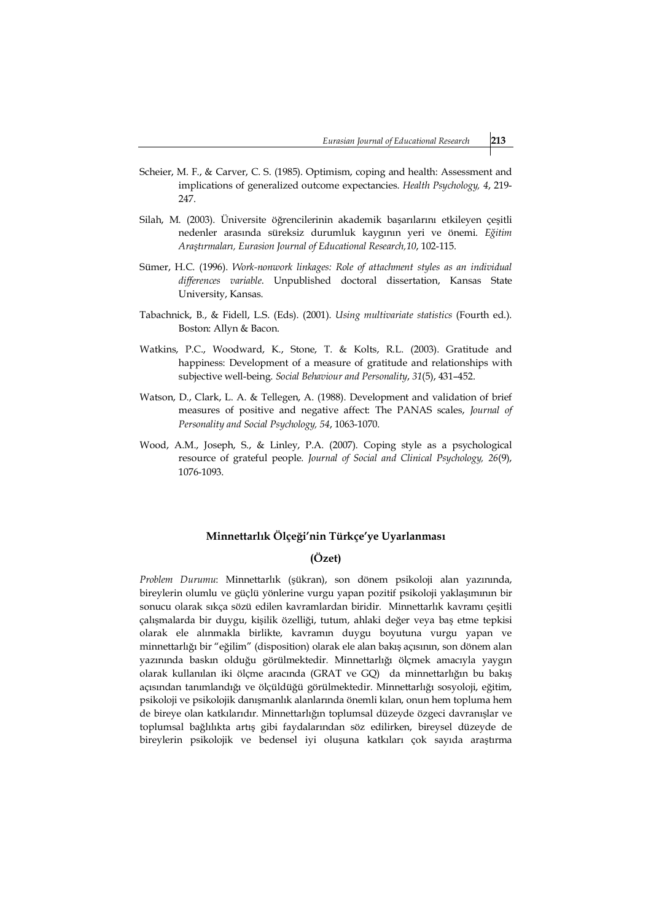- Scheier, M. F., & Carver, C. S. (1985). Optimism, coping and health: Assessment and implications of generalized outcome expectancies. *Health Psychology, 4*, 219- 247.
- Silah, M. (2003). Üniversite öğrencilerinin akademik başarılarını etkileyen çeşitli nedenler arasında süreksiz durumluk kaygının yeri ve önemi. *Eğitim Araştırmaları, Eurasion Journal of Educational Research,10*, 102-115.
- Sümer, H.C. (1996). *Work-nonwork linkages: Role of attachment styles as an individual differences variable*. Unpublished doctoral dissertation, Kansas State University, Kansas.
- Tabachnick, B., & Fidell, L.S. (Eds). (2001). *Using multivariate statistics* (Fourth ed.). Boston: Allyn & Bacon.
- Watkins, P.C., Woodward, K., Stone, T. & Kolts, R.L. (2003). Gratitude and happiness: Development of a measure of gratitude and relationships with subjective well-being. *Social Behaviour and Personality*, *31*(5), 431–452.
- Watson, D., Clark, L. A. & Tellegen, A. (1988). Development and validation of brief measures of positive and negative affect: The PANAS scales, *Journal of Personality and Social Psychology, 54*, 1063-1070.
- Wood, A.M., Joseph, S., & Linley, P.A. (2007). Coping style as a psychological resource of grateful people. *Journal of Social and Clinical Psychology, 26*(9), 1076-1093.

# **Minnettarlık Ölçeği'nin Türkçe'ye Uyarlanması**

# **(Özet)**

*Problem Durumu*: Minnettarlık (şükran), son dönem psikoloji alan yazınında, bireylerin olumlu ve güçlü yönlerine vurgu yapan pozitif psikoloji yaklaşımının bir sonucu olarak sıkça sözü edilen kavramlardan biridir. Minnettarlık kavramı çeşitli çalışmalarda bir duygu, kişilik özelliği, tutum, ahlaki değer veya baş etme tepkisi olarak ele alınmakla birlikte, kavramın duygu boyutuna vurgu yapan ve minnettarlığı bir "eğilim" (disposition) olarak ele alan bakış açısının, son dönem alan yazınında baskın olduğu görülmektedir. Minnettarlığı ölçmek amacıyla yaygın olarak kullanılan iki ölçme aracında (GRAT ve GQ) da minnettarlığın bu bakış açısından tanımlandığı ve ölçüldüğü görülmektedir. Minnettarlığı sosyoloji, eğitim, psikoloji ve psikolojik danışmanlık alanlarında önemli kılan, onun hem topluma hem de bireye olan katkılarıdır. Minnettarlığın toplumsal düzeyde özgeci davranışlar ve toplumsal bağlılıkta artış gibi faydalarından söz edilirken, bireysel düzeyde de bireylerin psikolojik ve bedensel iyi oluşuna katkıları çok sayıda araştırma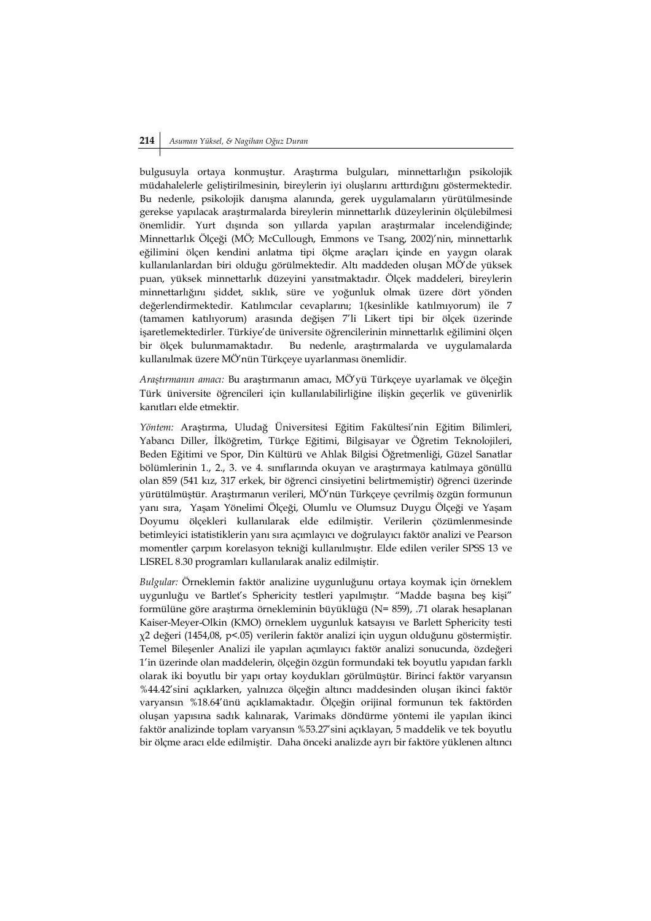bulgusuyla ortaya konmuştur. Araştırma bulguları, minnettarlığın psikolojik müdahalelerle geliştirilmesinin, bireylerin iyi oluşlarını arttırdığını göstermektedir. Bu nedenle, psikolojik danışma alanında, gerek uygulamaların yürütülmesinde gerekse yapılacak araştırmalarda bireylerin minnettarlık düzeylerinin ölçülebilmesi önemlidir. Yurt dışında son yıllarda yapılan araştırmalar incelendiğinde; Minnettarlık Ölçeği (MÖ; McCullough, Emmons ve Tsang, 2002)'nin, minnettarlık eğilimini ölçen kendini anlatma tipi ölçme araçları içinde en yaygın olarak kullanılanlardan biri olduğu görülmektedir. Altı maddeden oluşan MÖ'de yüksek puan, yüksek minnettarlık düzeyini yansıtmaktadır. Ölçek maddeleri, bireylerin minnettarlığını şiddet, sıklık, süre ve yoğunluk olmak üzere dört yönden değerlendirmektedir. Katılımcılar cevaplarını; 1(kesinlikle katılmıyorum) ile 7 (tamamen katılıyorum) arasında değişen 7'li Likert tipi bir ölçek üzerinde işaretlemektedirler. Türkiye'de üniversite öğrencilerinin minnettarlık eğilimini ölçen bir ölçek bulunmamaktadır. Bu nedenle, araştırmalarda ve uygulamalarda kullanılmak üzere MÖ'nün Türkçeye uyarlanması önemlidir.

*Araştırmanın amacı:* Bu araştırmanın amacı, MÖ'yü Türkçeye uyarlamak ve ölçeğin Türk üniversite öğrencileri için kullanılabilirliğine ilişkin geçerlik ve güvenirlik kanıtları elde etmektir.

*Yöntem:* Araştırma, Uludağ Üniversitesi Eğitim Fakültesi'nin Eğitim Bilimleri, Yabancı Diller, İlköğretim, Türkçe Eğitimi, Bilgisayar ve Öğretim Teknolojileri, Beden Eğitimi ve Spor, Din Kültürü ve Ahlak Bilgisi Öğretmenliği, Güzel Sanatlar bölümlerinin 1., 2., 3. ve 4. sınıflarında okuyan ve araştırmaya katılmaya gönüllü olan 859 (541 kız, 317 erkek, bir öğrenci cinsiyetini belirtmemiştir) öğrenci üzerinde yürütülmüştür. Araştırmanın verileri, MÖ'nün Türkçeye çevrilmiş özgün formunun yanı sıra, Yaşam Yönelimi Ölçeği, Olumlu ve Olumsuz Duygu Ölçeği ve Yaşam Doyumu ölçekleri kullanılarak elde edilmiştir. Verilerin çözümlenmesinde betimleyici istatistiklerin yanı sıra açımlayıcı ve doğrulayıcı faktör analizi ve Pearson momentler çarpım korelasyon tekniği kullanılmıştır. Elde edilen veriler SPSS 13 ve LISREL 8.30 programları kullanılarak analiz edilmiştir.

*Bulgular:* Örneklemin faktör analizine uygunluğunu ortaya koymak için örneklem uygunluğu ve Bartlet's Sphericity testleri yapılmıştır. "Madde başına beş kişi" formülüne göre araştırma örnekleminin büyüklüğü (N= 859), .71 olarak hesaplanan Kaiser-Meyer-Olkin (KMO) örneklem uygunluk katsayısı ve Barlett Sphericity testi χ2 değeri (1454,08, p<.05) verilerin faktör analizi için uygun olduğunu göstermiştir. Temel Bileşenler Analizi ile yapılan açımlayıcı faktör analizi sonucunda, özdeğeri 1'in üzerinde olan maddelerin, ölçeğin özgün formundaki tek boyutlu yapıdan farklı olarak iki boyutlu bir yapı ortay koydukları görülmüştür. Birinci faktör varyansın %44.42'sini açıklarken, yalnızca ölçeğin altıncı maddesinden oluşan ikinci faktör varyansın %18.64'ünü açıklamaktadır. Ölçeğin orijinal formunun tek faktörden oluşan yapısına sadık kalınarak, Varimaks döndürme yöntemi ile yapılan ikinci faktör analizinde toplam varyansın %53.27'sini açıklayan, 5 maddelik ve tek boyutlu bir ölçme aracı elde edilmiştir. Daha önceki analizde ayrı bir faktöre yüklenen altıncı